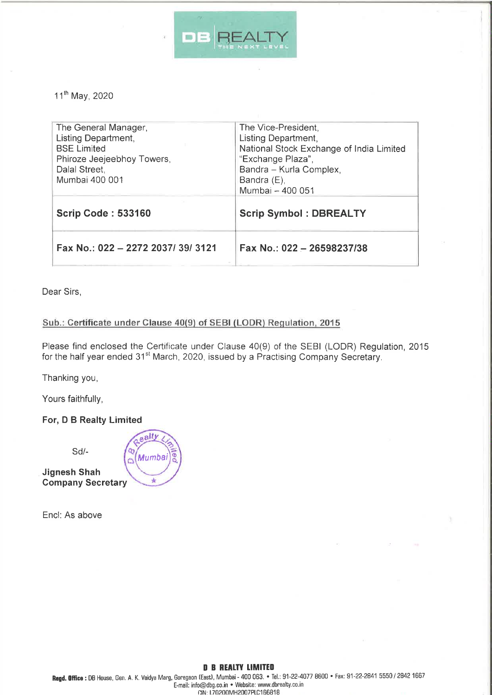

11<sup>th</sup> May, 2020

| The General Manager,<br>Listing Department,<br><b>BSE Limited</b><br>Phiroze Jeejeebhoy Towers,<br>Dalal Street,<br>Mumbai 400 001 | The Vice-President,<br>Listing Department,<br>National Stock Exchange of India Limited<br>"Exchange Plaza",<br>Bandra - Kurla Complex,<br>Bandra (E),<br>Mumbai - 400 051 |
|------------------------------------------------------------------------------------------------------------------------------------|---------------------------------------------------------------------------------------------------------------------------------------------------------------------------|
| <b>Scrip Code: 533160</b>                                                                                                          | <b>Scrip Symbol: DBREALTY</b>                                                                                                                                             |
| Fax No.: 022 - 2272 2037/39/3121                                                                                                   | Fax No.: 022 - 26598237/38                                                                                                                                                |

Dear Sirs,

## Sub.: Certificate under Clause 40(9) of SEBI (LODR) Regulation, 2015

Please find enclosed the Certificate under Clause 40(9) of the SEBI (LODR) Regulation, 2015 for the half year ended 31<sup>st</sup> March, 2020, issued by a Practising Company Secretary.

Thanking you,

Yours faithfully,

## For, D B Realty Limited

Sd/-

**Jignesh Shah Company Secretary** 

Encl: As above